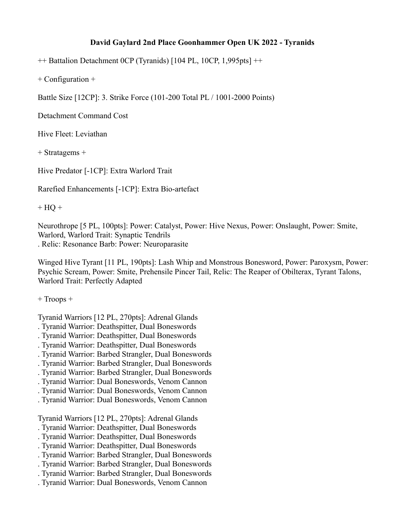## **David Gaylard 2nd Place Goonhammer Open UK 2022 - Tyranids**

++ Battalion Detachment 0CP (Tyranids) [104 PL, 10CP, 1,995pts] ++

+ Configuration +

Battle Size [12CP]: 3. Strike Force (101-200 Total PL / 1001-2000 Points)

Detachment Command Cost

Hive Fleet: Leviathan

+ Stratagems +

Hive Predator [-1CP]: Extra Warlord Trait

Rarefied Enhancements [-1CP]: Extra Bio-artefact

 $+$  HQ  $+$ 

Neurothrope [5 PL, 100pts]: Power: Catalyst, Power: Hive Nexus, Power: Onslaught, Power: Smite, Warlord, Warlord Trait: Synaptic Tendrils . Relic: Resonance Barb: Power: Neuroparasite

Winged Hive Tyrant [11 PL, 190pts]: Lash Whip and Monstrous Bonesword, Power: Paroxysm, Power: Psychic Scream, Power: Smite, Prehensile Pincer Tail, Relic: The Reaper of Obilterax, Tyrant Talons, Warlord Trait: Perfectly Adapted

+ Troops +

Tyranid Warriors [12 PL, 270pts]: Adrenal Glands

- . Tyranid Warrior: Deathspitter, Dual Boneswords
- . Tyranid Warrior: Deathspitter, Dual Boneswords
- . Tyranid Warrior: Deathspitter, Dual Boneswords
- . Tyranid Warrior: Barbed Strangler, Dual Boneswords
- . Tyranid Warrior: Barbed Strangler, Dual Boneswords
- . Tyranid Warrior: Barbed Strangler, Dual Boneswords
- . Tyranid Warrior: Dual Boneswords, Venom Cannon
- . Tyranid Warrior: Dual Boneswords, Venom Cannon
- . Tyranid Warrior: Dual Boneswords, Venom Cannon

Tyranid Warriors [12 PL, 270pts]: Adrenal Glands

- . Tyranid Warrior: Deathspitter, Dual Boneswords
- . Tyranid Warrior: Deathspitter, Dual Boneswords
- . Tyranid Warrior: Deathspitter, Dual Boneswords
- . Tyranid Warrior: Barbed Strangler, Dual Boneswords
- . Tyranid Warrior: Barbed Strangler, Dual Boneswords
- . Tyranid Warrior: Barbed Strangler, Dual Boneswords
- . Tyranid Warrior: Dual Boneswords, Venom Cannon